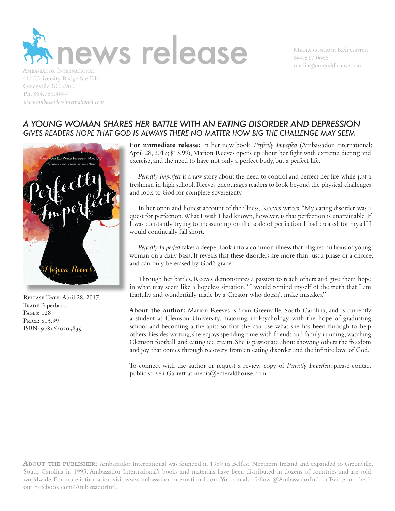

864.517.0666  $median@emeraldhouse.com$ 

411 University Ridge Ste B14 Greenville, SC 29601 Ph. 864.751.4847 *www.ambassador-international.com*

## *A YOUNG WOMAN SHARES HER BATTLE WITH AN EATING DISORDER AND DEPRESSION GIVES READERS HOPE THAT GOD IS ALWAYS THERE NO MATTER HOW BIG THE CHALLENGE MAY SEEM*



RELEASE DATE: April 28, 2017 TRADE Paperback Pages: 128 Price: \$13.99 ISBN: 9781620205839

**For immediate release:** In her new book, *Perfectly Imperfect* (Ambassador International; April 28, 2017; \$13.99), Marion Reeves opens up about her fight with extreme dieting and exercise, and the need to have not only a perfect body, but a perfect life.

*Perfectly Imperfect* is a raw story about the need to control and perfect her life while just a freshman in high school. Reeves encourages readers to look beyond the physical challenges and look to God for complete sovereignty.

In her open and honest account of the illness, Reeves writes, "My eating disorder was a quest for perfection. What I wish I had known, however, is that perfection is unattainable. If I was constantly trying to measure up on the scale of perfection I had created for myself I would continually fall short.

*Perfectly Imperfect* takes a deeper look into a common illness that plagues millions of young woman on a daily basis. It reveals that these disorders are more than just a phase or a choice, and can only be erased by God's grace.

Through her battles, Reeves demonstrates a passion to reach others and give them hope in what may seem like a hopeless situation. "I would remind myself of the truth that I am fearfully and wonderfully made by a Creator who doesn't make mistakes."

**About the author:** Marion Reeves is from Greenville, South Carolina, and is currently a student at Clemson University, majoring in Psychology with the hope of graduating school and becoming a therapist so that she can use what she has been through to help others. Besides writing, she enjoys spending time with friends and family, running, watching Clemson football, and eating ice cream. She is passionate about showing others the freedom and joy that comes through recovery from an eating disorder and the infinite love of God.

To connect with the author or request a review copy of *Perfectly Imperfect*, please contact publicist Keli Garrett at media@emeraldhouse.com.

**About the publisher:** Ambassador International was founded in 1980 in Belfast, Northern Ireland and expanded to Greenville, South Carolina in 1995. Ambassador International's books and materials have been distributed in dozens of countries and are sold worldwide. For more information visit www.ambassador-international.com. You can also follow @AmbassadorIntl on Twitter or check out Facebook.com/AmbassadorIntl.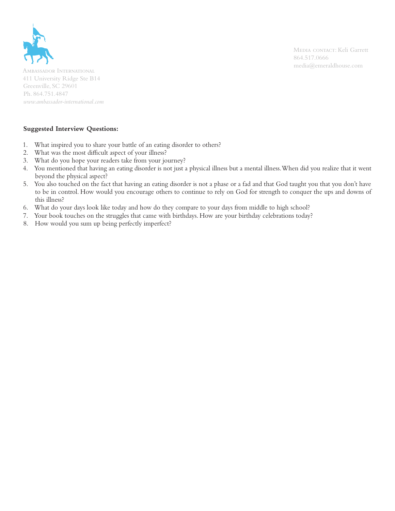

media@emeraldhouse.com Ambassador International 411 University Ridge Ste B14 Greenville, SC 29601 Ph. 864.751.4847 *www.ambassador-international.com*

## **Suggested Interview Questions:**

- 1. What inspired you to share your battle of an eating disorder to others?
- 2. What was the most difficult aspect of your illness?
- 3. What do you hope your readers take from your journey?
- 4. You mentioned that having an eating disorder is not just a physical illness but a mental illness. When did you realize that it went beyond the physical aspect?
- 5. You also touched on the fact that having an eating disorder is not a phase or a fad and that God taught you that you don't have to be in control. How would you encourage others to continue to rely on God for strength to conquer the ups and downs of this illness?
- 6. What do your days look like today and how do they compare to your days from middle to high school?
- 7. Your book touches on the struggles that came with birthdays. How are your birthday celebrations today?
- 8. How would you sum up being perfectly imperfect?